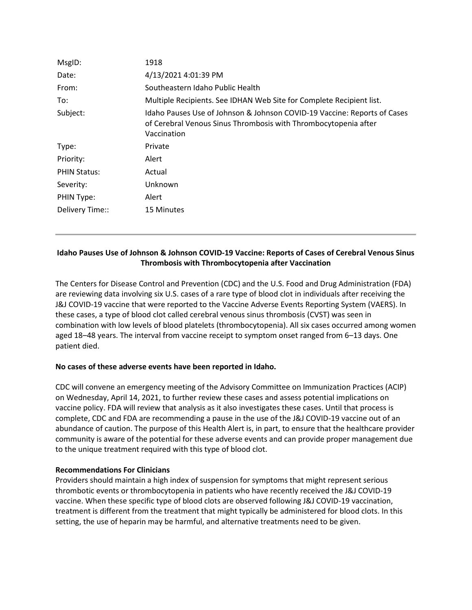| MsgID:              | 1918                                                                                                                                                       |
|---------------------|------------------------------------------------------------------------------------------------------------------------------------------------------------|
| Date:               | 4/13/2021 4:01:39 PM                                                                                                                                       |
| From:               | Southeastern Idaho Public Health                                                                                                                           |
| To:                 | Multiple Recipients. See IDHAN Web Site for Complete Recipient list.                                                                                       |
| Subject:            | Idaho Pauses Use of Johnson & Johnson COVID-19 Vaccine: Reports of Cases<br>of Cerebral Venous Sinus Thrombosis with Thrombocytopenia after<br>Vaccination |
| Type:               | Private                                                                                                                                                    |
| Priority:           | Alert                                                                                                                                                      |
| <b>PHIN Status:</b> | Actual                                                                                                                                                     |
| Severity:           | Unknown                                                                                                                                                    |
| PHIN Type:          | Alert                                                                                                                                                      |
| Delivery Time::     | <b>15 Minutes</b>                                                                                                                                          |

# **Idaho Pauses Use of Johnson & Johnson COVID-19 Vaccine: Reports of Cases of Cerebral Venous Sinus Thrombosis with Thrombocytopenia after Vaccination**

The Centers for Disease Control and Prevention (CDC) and the U.S. Food and Drug Administration (FDA) are reviewing data involving six U.S. cases of a rare type of blood clot in individuals after receiving the J&J COVID-19 vaccine that were reported to the Vaccine Adverse Events Reporting System (VAERS). In these cases, a type of blood clot called cerebral venous sinus thrombosis (CVST) was seen in combination with low levels of blood platelets (thrombocytopenia). All six cases occurred among women aged 18–48 years. The interval from vaccine receipt to symptom onset ranged from 6–13 days. One patient died.

# **No cases of these adverse events have been reported in Idaho.**

CDC will convene an emergency meeting of the Advisory Committee on Immunization Practices (ACIP) on Wednesday, April 14, 2021, to further review these cases and assess potential implications on vaccine policy. FDA will review that analysis as it also investigates these cases. Until that process is complete, CDC and FDA are recommending a pause in the use of the J&J COVID-19 vaccine out of an abundance of caution. The purpose of this Health Alert is, in part, to ensure that the healthcare provider community is aware of the potential for these adverse events and can provide proper management due to the unique treatment required with this type of blood clot.

## **Recommendations For Clinicians**

Providers should maintain a high index of suspension for symptoms that might represent serious thrombotic events or thrombocytopenia in patients who have recently received the J&J COVID-19 vaccine. When these specific type of blood clots are observed following J&J COVID-19 vaccination, treatment is different from the treatment that might typically be administered for blood clots. In this setting, the use of heparin may be harmful, and alternative treatments need to be given.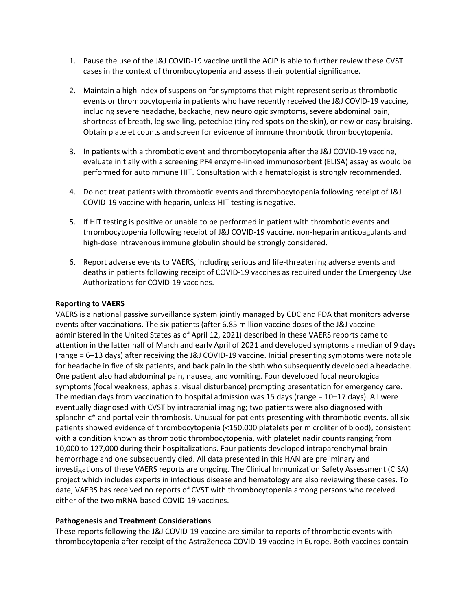- 1. Pause the use of the J&J COVID-19 vaccine until the ACIP is able to further review these CVST cases in the context of thrombocytopenia and assess their potential significance.
- 2. Maintain a high index of suspension for symptoms that might represent serious thrombotic events or thrombocytopenia in patients who have recently received the J&J COVID-19 vaccine, including severe headache, backache, new neurologic symptoms, severe abdominal pain, shortness of breath, leg swelling, petechiae (tiny red spots on the skin), or new or easy bruising. Obtain platelet counts and screen for evidence of immune thrombotic thrombocytopenia.
- 3. In patients with a thrombotic event and thrombocytopenia after the J&J COVID-19 vaccine, evaluate initially with a screening PF4 enzyme-linked immunosorbent (ELISA) assay as would be performed for autoimmune HIT. Consultation with a hematologist is strongly recommended.
- 4. Do not treat patients with thrombotic events and thrombocytopenia following receipt of J&J COVID-19 vaccine with heparin, unless HIT testing is negative.
- 5. If HIT testing is positive or unable to be performed in patient with thrombotic events and thrombocytopenia following receipt of J&J COVID-19 vaccine, non-heparin anticoagulants and high-dose intravenous immune globulin should be strongly considered.
- 6. Report adverse events to VAERS, including serious and life-threatening adverse events and deaths in patients following receipt of COVID-19 vaccines as required under the Emergency Use Authorizations for COVID-19 vaccines.

### **Reporting to VAERS**

VAERS is a national passive surveillance system jointly managed by CDC and FDA that monitors adverse events after vaccinations. The six patients (after 6.85 million vaccine doses of the J&J vaccine administered in the United States as of April 12, 2021) described in these VAERS reports came to attention in the latter half of March and early April of 2021 and developed symptoms a median of 9 days (range = 6–13 days) after receiving the J&J COVID-19 vaccine. Initial presenting symptoms were notable for headache in five of six patients, and back pain in the sixth who subsequently developed a headache. One patient also had abdominal pain, nausea, and vomiting. Four developed focal neurological symptoms (focal weakness, aphasia, visual disturbance) prompting presentation for emergency care. The median days from vaccination to hospital admission was 15 days (range = 10–17 days). All were eventually diagnosed with CVST by intracranial imaging; two patients were also diagnosed with splanchnic\* and portal vein thrombosis. Unusual for patients presenting with thrombotic events, all six patients showed evidence of thrombocytopenia (<150,000 platelets per microliter of blood), consistent with a condition known as thrombotic thrombocytopenia, with platelet nadir counts ranging from 10,000 to 127,000 during their hospitalizations. Four patients developed intraparenchymal brain hemorrhage and one subsequently died. All data presented in this HAN are preliminary and investigations of these VAERS reports are ongoing. The Clinical Immunization Safety Assessment (CISA) project which includes experts in infectious disease and hematology are also reviewing these cases. To date, VAERS has received no reports of CVST with thrombocytopenia among persons who received either of the two mRNA-based COVID-19 vaccines.

## **Pathogenesis and Treatment Considerations**

These reports following the J&J COVID-19 vaccine are similar to reports of thrombotic events with thrombocytopenia after receipt of the AstraZeneca COVID-19 vaccine in Europe. Both vaccines contain